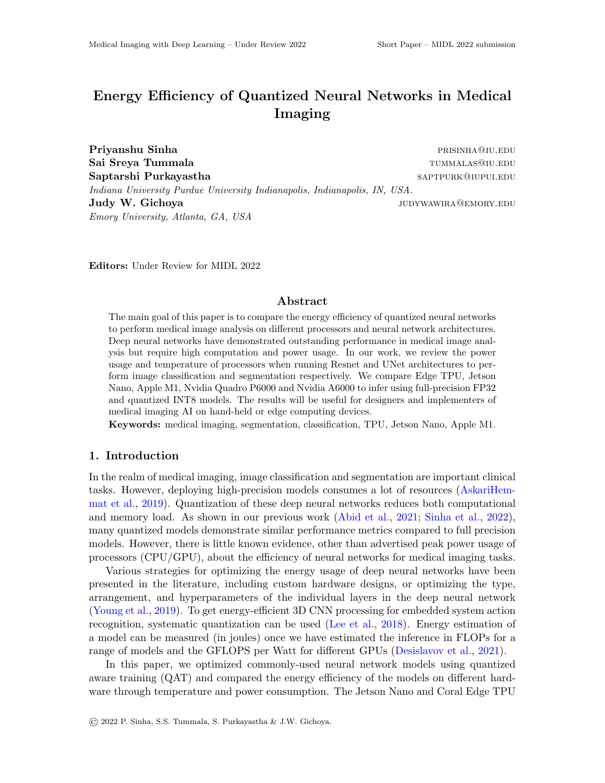# Energy Efficiency of Quantized Neural Networks in Medical Imaging

Priyanshu Sinha **prisining ang pangkatang prisining prisining prisining prisining prisining prisining prisining** Sai Sreya Tummala tummalasan karena tummalasa karena tummalasa tummalasa tummalasa tummalasa tummalasa tummala Saptarshi Purkayastha saptarshi Saptarshi Purkayastha sababar sababar sababar sababar sanada sababar sanada sa Indiana University Purdue University Indianapolis, Indianapolis, IN, USA.  $\bf{Judy}$   $\bf{W.}$   $\bf{Gichoya}$   $\bf{V}$ Emory University, Atlanta, GA, USA

Editors: Under Review for MIDL 2022

### Abstract

The main goal of this paper is to compare the energy efficiency of quantized neural networks to perform medical image analysis on different processors and neural network architectures. Deep neural networks have demonstrated outstanding performance in medical image analysis but require high computation and power usage. In our work, we review the power usage and temperature of processors when running Resnet and UNet architectures to perform image classification and segmentation respectively. We compare Edge TPU, Jetson Nano, Apple M1, Nvidia Quadro P6000 and Nvidia A6000 to infer using full-precision FP32 and quantized INT8 models. The results will be useful for designers and implementers of medical imaging AI on hand-held or edge computing devices.

Keywords: medical imaging, segmentation, classification, TPU, Jetson Nano, Apple M1.

#### 1. Introduction

In the realm of medical imaging, image classification and segmentation are important clinical tasks. However, deploying high-precision models consumes a lot of resources (AskariHemmat et al., 2019). Quantization of these deep neural networks reduces both computational and memory load. As shown in our previous work (Abid et al., 2021; Sinha et al., 2022), many quantized models demonstrate similar performance metrics compared to full precision models. However, there is little known evidence, other than advertised peak power usage of processors (CPU/GPU), about the efficiency of neural networks for medical imaging tasks.

Various strategies for optimizing the energy usage of deep neural networks have been presented in the literature, including custom hardware designs, or optimizing the type, arrangement, and hyperparameters of the individual layers in the deep neural network (Young et al., 2019). To get energy-efficient 3D CNN processing for embedded system action recognition, systematic quantization can be used (Lee et al., 2018). Energy estimation of a model can be measured (in joules) once we have estimated the inference in FLOPs for a range of models and the GFLOPS per Watt for different GPUs (Desislavov et al., 2021).

In this paper, we optimized commonly-used neural network models using quantized aware training (QAT) and compared the energy efficiency of the models on different hardware through temperature and power consumption. The Jetson Nano and Coral Edge TPU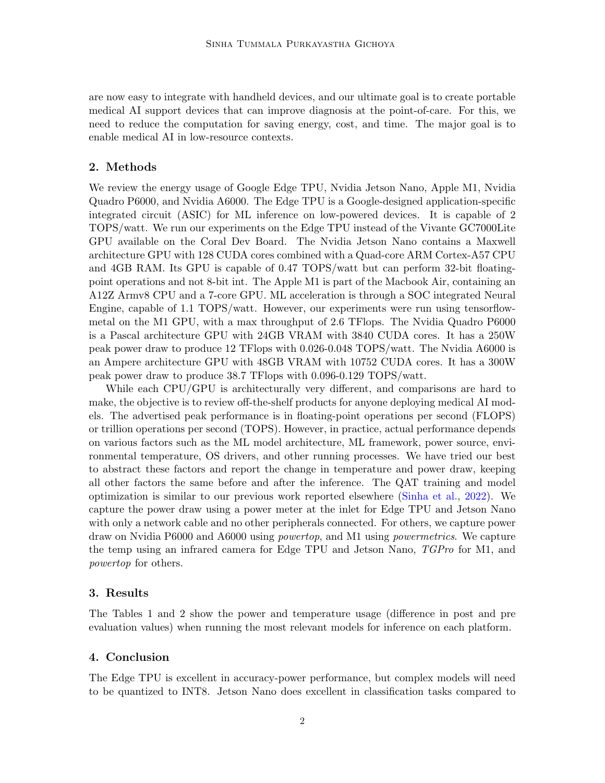are now easy to integrate with handheld devices, and our ultimate goal is to create portable medical AI support devices that can improve diagnosis at the point-of-care. For this, we need to reduce the computation for saving energy, cost, and time. The major goal is to enable medical AI in low-resource contexts.

#### 2. Methods

We review the energy usage of Google Edge TPU, Nvidia Jetson Nano, Apple M1, Nvidia Quadro P6000, and Nvidia A6000. The Edge TPU is a Google-designed application-specific integrated circuit (ASIC) for ML inference on low-powered devices. It is capable of 2 TOPS/watt. We run our experiments on the Edge TPU instead of the Vivante GC7000Lite GPU available on the Coral Dev Board. The Nvidia Jetson Nano contains a Maxwell architecture GPU with 128 CUDA cores combined with a Quad-core ARM Cortex-A57 CPU and 4GB RAM. Its GPU is capable of 0.47 TOPS/watt but can perform 32-bit floatingpoint operations and not 8-bit int. The Apple M1 is part of the Macbook Air, containing an A12Z Armv8 CPU and a 7-core GPU. ML acceleration is through a SOC integrated Neural Engine, capable of 1.1 TOPS/watt. However, our experiments were run using tensorflowmetal on the M1 GPU, with a max throughput of 2.6 TFlops. The Nvidia Quadro P6000 is a Pascal architecture GPU with 24GB VRAM with 3840 CUDA cores. It has a 250W peak power draw to produce 12 TFlops with 0.026-0.048 TOPS/watt. The Nvidia A6000 is an Ampere architecture GPU with 48GB VRAM with 10752 CUDA cores. It has a 300W peak power draw to produce 38.7 TFlops with 0.096-0.129 TOPS/watt.

While each CPU/GPU is architecturally very different, and comparisons are hard to make, the objective is to review off-the-shelf products for anyone deploying medical AI models. The advertised peak performance is in floating-point operations per second (FLOPS) or trillion operations per second (TOPS). However, in practice, actual performance depends on various factors such as the ML model architecture, ML framework, power source, environmental temperature, OS drivers, and other running processes. We have tried our best to abstract these factors and report the change in temperature and power draw, keeping all other factors the same before and after the inference. The QAT training and model optimization is similar to our previous work reported elsewhere (Sinha et al., 2022). We capture the power draw using a power meter at the inlet for Edge TPU and Jetson Nano with only a network cable and no other peripherals connected. For others, we capture power draw on Nvidia P6000 and A6000 using powertop, and M1 using powermetrics. We capture the temp using an infrared camera for Edge TPU and Jetson Nano, TGPro for M1, and powertop for others.

#### 3. Results

The Tables 1 and 2 show the power and temperature usage (difference in post and pre evaluation values) when running the most relevant models for inference on each platform.

#### 4. Conclusion

The Edge TPU is excellent in accuracy-power performance, but complex models will need to be quantized to INT8. Jetson Nano does excellent in classification tasks compared to